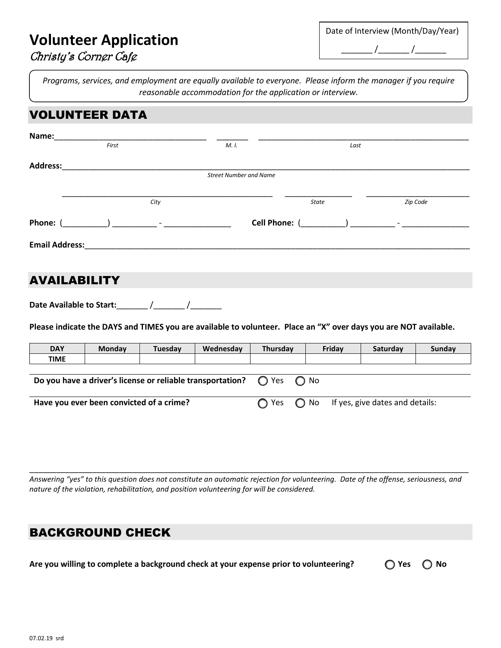# **Volunteer Application**

| Date of Interview (Month/Day/Year) |
|------------------------------------|
|                                    |

*Programs, services, and employment are equally available to everyone. Please inform the manager if you require reasonable accommodation for the application or interview.*

### VOLUNTEER DATA

| Name:                 |       |                                                                         |                               |               |          |
|-----------------------|-------|-------------------------------------------------------------------------|-------------------------------|---------------|----------|
|                       | First |                                                                         | M. I.                         | Last          |          |
| <b>Address:</b>       |       |                                                                         |                               |               |          |
|                       |       |                                                                         | <b>Street Number and Name</b> |               |          |
|                       |       |                                                                         |                               |               |          |
|                       |       | City                                                                    |                               | <b>State</b>  | Zip Code |
| Phone: (              |       | $\begin{array}{ccc} \end{array}$ ) and $\begin{array}{ccc} \end{array}$ |                               | Cell Phone: ( |          |
| <b>Email Address:</b> |       |                                                                         |                               |               |          |
|                       |       |                                                                         |                               |               |          |
|                       |       |                                                                         |                               |               |          |

# AVAILABILITY

Date Available to Start:  $\qquad$  /  $\qquad$  /

**Please indicate the DAYS and TIMES you are available to volunteer. Place an "X" over days you are NOT available.**

| <b>DAY</b>                                                                              | <b>Monday</b> | Tuesdav | Wednesday | Thursday |                                                            | Friday | Saturday | Sunday |
|-----------------------------------------------------------------------------------------|---------------|---------|-----------|----------|------------------------------------------------------------|--------|----------|--------|
| <b>TIME</b>                                                                             |               |         |           |          |                                                            |        |          |        |
|                                                                                         |               |         |           |          |                                                            |        |          |        |
| Do you have a driver's license or reliable transportation? $\bigcirc$ Yes $\bigcirc$ No |               |         |           |          |                                                            |        |          |        |
|                                                                                         |               |         |           |          |                                                            |        |          |        |
| Have you ever been convicted of a crime?                                                |               |         |           |          | $\bigcap$ Yes $\bigcap$ No If yes, give dates and details: |        |          |        |
|                                                                                         |               |         |           |          |                                                            |        |          |        |

*Answering "yes" to this question does not constitute an automatic rejection for volunteering. Date of the offense, seriousness, and nature of the violation, rehabilitation, and position volunteering for will be considered.*

\_\_\_\_\_\_\_\_\_\_\_\_\_\_\_\_\_\_\_\_\_\_\_\_\_\_\_\_\_\_\_\_\_\_\_\_\_\_\_\_\_\_\_\_\_\_\_\_\_\_\_\_\_\_\_\_\_\_\_\_\_\_\_\_\_\_\_\_\_\_\_\_\_\_\_\_\_\_\_\_\_\_\_\_\_\_\_\_\_\_\_\_\_\_\_\_\_\_

## BACKGROUND CHECK

**Are you willing to complete a background check at your expense prior to volunteering? ⃝ Yes ⃝ No**